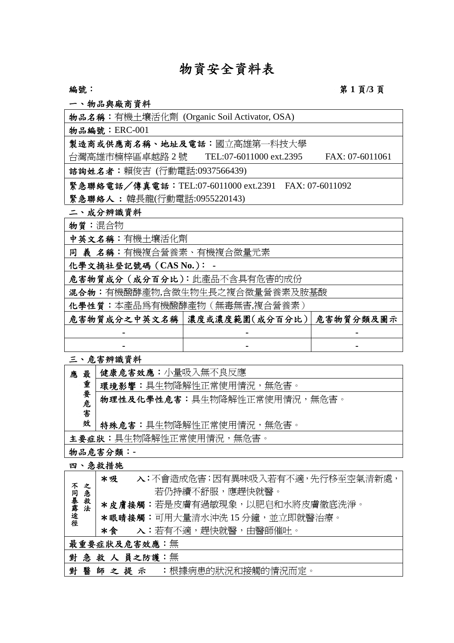# 物資安全資料表

編號: **1** 頁/3 頁

一、物品與廠商資料

| 物品名稱:有機土壤活化劑 (Organic Soil Activator, OSA)                  |
|-------------------------------------------------------------|
| 物品編號: ERC-001                                               |
| 製造商或供應商名稱、地址及電話:國立高雄第一科技大學                                  |
| 台灣高雄市楠梓區卓越路 2 號  TEL:07-6011000 ext.2395<br>FAX: 07-6011061 |
| 諮詢姓名者:賴俊吉 (行動電話:0937566439)                                 |
| 緊急聯絡電話/傳真電話:TEL:07-6011000 ext.2391 FAX: 07-6011092         |
| 緊急聯絡人:韓長龍(行動電話:0955220143)                                  |
| 二、成分辨識資料                                                    |
| 物質:混合物                                                      |

中英文名稱:有機土壤活化劑

同 義 名稱:有機複合營養素、有機複合微量元素

化學文摘社登記號碼(**CAS No.**): **-**

危害物質成分(成分百分比):此產品不含具有危害的成份

混合物:有機醱酵產物,含微生物生長之複合微量營養素及胺基酸

化學性質:本產品為有機醱酵產物(無毒無害,複合營養素)

| 危害物質成分之中英文名稱   濃度或濃度範圍(成分百分比)   危害物質分類及圖示 |  |
|-------------------------------------------|--|
| $\blacksquare$                            |  |
| $\blacksquare$                            |  |

三、危害辨識資料

| 最<br>應 | 健康危害效應:小量吸入無不良反應            |
|--------|-----------------------------|
| 重      | 環境影響:具生物降解性正常使用情況,無危害。      |
| 要危     | 物理性及化學性危害:具生物降解性正常使用情況,無危害。 |
| 害<br>效 | 特殊危害:具生物降解性正常使用情況,無危害。      |
|        | 主要症狀:具生物降解性正常使用情況,無危害。      |

物品危害分類:**-**

四、急救措施

|       |     | *吸   | 入:不會造成危害;因有異味吸入若有不適,先行移至空氣清新處, |
|-------|-----|------|--------------------------------|
| 不     | 之   |      | 若仍持續不舒服,應趕快就醫。                 |
| 同暴露途徑 | 急救法 |      | *皮膚接觸:若是皮膚有過敏現象,以肥皂和水將皮膚徹底洗淨。  |
|       |     |      | *眼睛接觸:可用大量清水沖洗 15 分鐘,並立即就醫治療。  |
|       |     |      | *食 入:若有不適,趕快就醫,由醫師催吐。          |
|       |     |      | 最重要症狀及危害效應:無                   |
|       |     |      | 對急救人員之防護:無                     |
| 對 醫   |     | 師之提示 | :根據病患的狀況和接觸的情況而定。              |
|       |     |      |                                |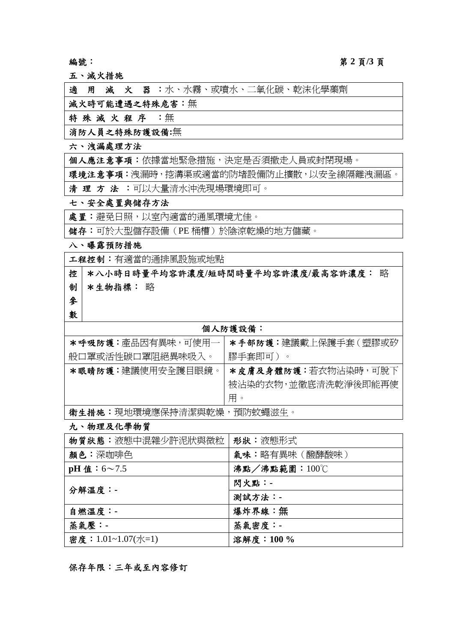# 編號: 第 **2** 頁**/3** 頁

五、滅火措施

適 用 滅 火 器 :水、水霧、或噴水、二氧化碳、乾沫化學藥劑

滅火時可能遭遇之特殊危害:無

特殊 滅火程序 :無

消防人員之特殊防護設備**:**無

### 六、洩漏處理方法

個人應注意事項:依據當地緊急措施,決定是否須撤走人員或封閉現場。

環境注意事項: 洩漏時, 挖溝渠或適當的防堵設備防止擴散, 以安全線隔離洩漏區。

清 理 方 法 :可以大量清水沖洗現場環境即可。

### 七、安全處置與儲存方法

處置:避免日照,以室內適當的通風環境尤佳。

儲存:可於大型儲存設備(PE 桶槽)於陰涼乾燥的地方儲藏。

#### 八、曝露預防措施

工程控制:有適當的通排風設施或地點

控 \*八小時日時量平均容許濃度**/**短時間時量平均容許濃度**/**最高容許濃度: 略 制 \*生物指標: 略

參 數

# 個人防護設備:

| *呼吸防護:產品因有異味,可使用一         | *手部防護:建議戴上保護手套 ( 塑膠或矽 |
|---------------------------|-----------------------|
| 般口罩或活性碳口罩阳絕異味吸入。          | 膠手套即可)                |
| *眼晴防護:建議使用安全護目眼鏡。         | *皮膚及身體防護:若衣物沾染時,可脫下   |
|                           | 被沾染的衣物,並徹底清洗乾淨後即能再使   |
|                           | 用。                    |
| 衛生措施:現地環境應保持清潔與乾燥,預防蚊蠅滋生。 |                       |

# 九、物理及化學物質

| 物質狀態:液熊中混雜少許泥狀與微粒  | 形狀:液熊形式        |
|--------------------|----------------|
| 颜色:深咖啡色            | 氣味:略有異味 (醱酵酸味) |
| pH 值: $6 \sim 7.5$ | 沸點/沸點範圍:100℃   |
| 分解溫度:-             | 閃火點:-          |
|                    | 测試方法:-         |
| 自燃溫度:-             | 爆炸界線:無         |
| 蒸氣壓:-              | 蒸氣密度:-         |
| 密度: 1.01~1.07(水=1) | 溶解度: 100%      |

# 保存年限:三年或至內容修訂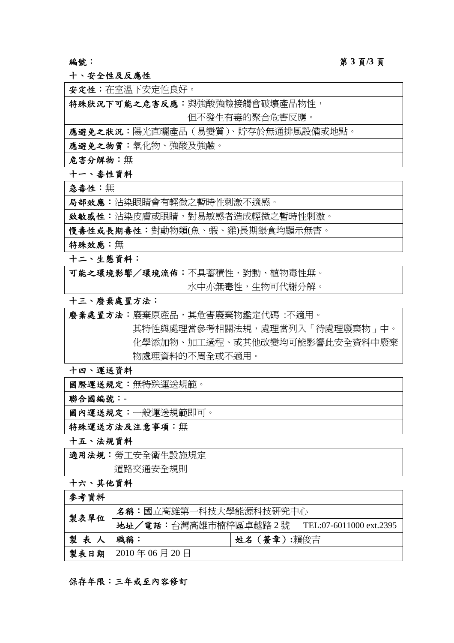# 編號: 第 **3** 頁**/3** 頁

十、安全性及反應性

安定性:在室溫下安定性良好。

特殊狀況下可能之危害反應:與強酸強鹼接觸會破壞產品物性,

但不發生有毒的聚合危害反應。

應避免之狀況:陽光直曬產品(易變質)、貯存於無通排風設備或地點。

應避免之物質:氧化物、強酸及強鹼。

危害分解物:無

十一、毒性資料

急毒性:無

品部效應:沾染眼睛會有輕微之暫時性刺激不適感。

致敏感性:沾染皮膚或眼睛,對易敏感者造成輕微之暫時性刺激。

慢毒性或長期毒性:對動物類(魚、蝦、雞)長期餵食均顯示無害。

特殊效應:無

十二、生態資料:

可能之環境影響/環境流佈:不具蓄積性,對動、植物毒性無。 水中亦無毒性,生物可代謝分解。

# 十三、廢棄處置方法:

廢棄處置方法:廢棄原產品,其危害廢棄物鑑定代碼 :不適用。 其特性與處理當參考相關法規,處理當列入「待處理廢棄物」中。 化學添加物、加工過程、或其他改變均可能影響此安全資料中廢棄 物處理資料的不周全或不適用。

十四、運送資料

國際運送規定:無特殊運送規範。

聯合國編號:**-**

國內運送規定:一般運送規範即可。

特殊運送方法及注意事項:無

十五、法規資料

適用法規:勞工安全衛生設施規定

道路交通安全規則

十六、其他資料

| 參考資料 |                       |                                              |
|------|-----------------------|----------------------------------------------|
| 製表單位 | 名稱:國立高雄第一科技大學能源科技研究中心 |                                              |
|      |                       | 地址/電話:台灣高雄市楠梓區卓越路 2號 TEL:07-6011000 ext.2395 |
| 製表人  | 職稱:                   | 姓名 (簽章):賴俊吉                                  |
| 製表日期 | $\vert$ 2010年06月20日   |                                              |

#### 保存年限:三年或至內容修訂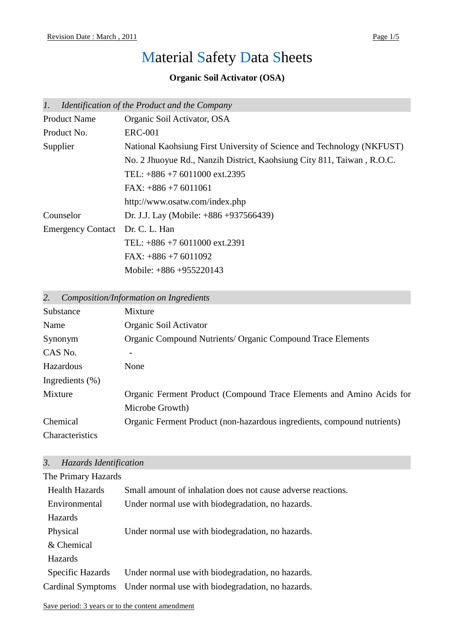# Material Safety Data Sheets

# **Organic Soil Activator (OSA)**

| 1.                       | Identification of the Product and the Company                          |
|--------------------------|------------------------------------------------------------------------|
| <b>Product Name</b>      | Organic Soil Activator, OSA                                            |
| Product No.              | <b>ERC-001</b>                                                         |
| Supplier                 | National Kaohsiung First University of Science and Technology (NKFUST) |
|                          | No. 2 Jhuoyue Rd., Nanzih District, Kaohsiung City 811, Taiwan, R.O.C. |
|                          | TEL: $+886 +7 6011000 \text{ ext.}2395$                                |
|                          | $FAX: +886 + 76011061$                                                 |
|                          | http://www.osatw.com/index.php                                         |
| Counselor                | Dr. J.J. Lay (Mobile: $+886 +937566439$ )                              |
| <b>Emergency Contact</b> | Dr. C. L. Han                                                          |
|                          | TEL: $+886 +7 6011000 \text{ ext.}2391$                                |
|                          | FAX: $+886 + 76011092$                                                 |
|                          | Mobile: $+886 +955220143$                                              |

*2. Composition/Information on Ingredients*

| Substance           | Mixture                                                                 |
|---------------------|-------------------------------------------------------------------------|
| Name                | Organic Soil Activator                                                  |
| Synonym             | <b>Organic Compound Nutrients/ Organic Compound Trace Elements</b>      |
| CAS No.             |                                                                         |
| Hazardous           | None                                                                    |
| Ingredients $(\% )$ |                                                                         |
| Mixture             | Organic Ferment Product (Compound Trace Elements and Amino Acids for    |
|                     | Microbe Growth)                                                         |
| Chemical            | Organic Ferment Product (non-hazardous ingredients, compound nutrients) |
| Characteristics     |                                                                         |

# *3. Hazards Identification*

| The Primary Hazards   |                                                              |
|-----------------------|--------------------------------------------------------------|
| <b>Health Hazards</b> | Small amount of inhalation does not cause adverse reactions. |
| Environmental         | Under normal use with biodegradation, no hazards.            |
| Hazards               |                                                              |
| Physical              | Under normal use with biodegradation, no hazards.            |
| & Chemical            |                                                              |
| <b>Hazards</b>        |                                                              |
| Specific Hazards      | Under normal use with biodegradation, no hazards.            |
| Cardinal Symptoms     | Under normal use with biodegradation, no hazards.            |
|                       |                                                              |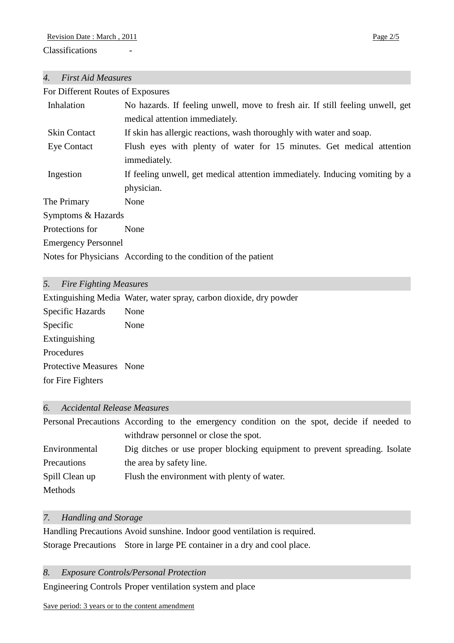# *4. First Aid Measures*

**Classifications** 

| For Different Routes of Exposures |                                                                                |  |
|-----------------------------------|--------------------------------------------------------------------------------|--|
| Inhalation                        | No hazards. If feeling unwell, move to fresh air. If still feeling unwell, get |  |
|                                   | medical attention immediately.                                                 |  |
| <b>Skin Contact</b>               | If skin has allergic reactions, wash thoroughly with water and soap.           |  |
| Eye Contact                       | Flush eyes with plenty of water for 15 minutes. Get medical attention          |  |
|                                   | immediately.                                                                   |  |
| Ingestion                         | If feeling unwell, get medical attention immediately. Inducing vomiting by a   |  |
|                                   | physician.                                                                     |  |
| The Primary                       | None                                                                           |  |
| Symptoms & Hazards                |                                                                                |  |
| Protections for                   | None                                                                           |  |
| <b>Emergency Personnel</b>        |                                                                                |  |
|                                   | Notes for Physicians According to the condition of the patient                 |  |
|                                   |                                                                                |  |

# *5. Fire Fighting Measures*

|                          | Extinguishing Media Water, water spray, carbon dioxide, dry powder |
|--------------------------|--------------------------------------------------------------------|
| Specific Hazards         | None                                                               |
| Specific                 | None                                                               |
| Extinguishing            |                                                                    |
| Procedures               |                                                                    |
| Protective Measures None |                                                                    |
| for Fire Fighters        |                                                                    |
|                          |                                                                    |

# *6. Accidental Release Measures*

|                | Personal Precautions According to the emergency condition on the spot, decide if needed to |  |
|----------------|--------------------------------------------------------------------------------------------|--|
|                | withdraw personnel or close the spot.                                                      |  |
| Environmental  | Dig ditches or use proper blocking equipment to prevent spreading. Isolate                 |  |
| Precautions    | the area by safety line.                                                                   |  |
| Spill Clean up | Flush the environment with plenty of water.                                                |  |
| Methods        |                                                                                            |  |

# *7. Handling and Storage*

Handling Precautions Avoid sunshine. Indoor good ventilation is required. Storage Precautions Store in large PE container in a dry and cool place.

*8. Exposure Controls/Personal Protection*

Engineering Controls Proper ventilation system and place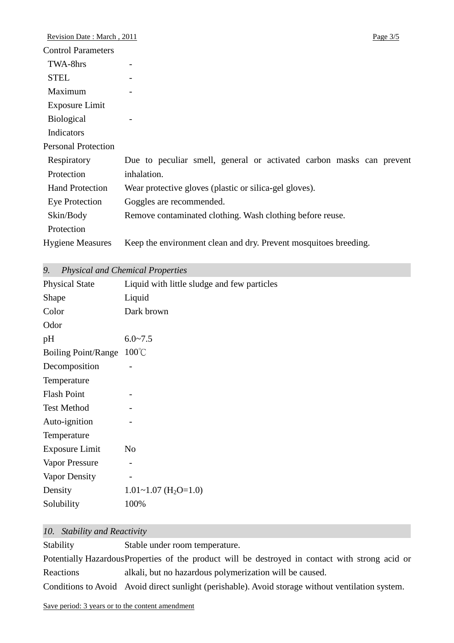| Revision Date: March, 2011 |                                                                      | Page $3/5$ |
|----------------------------|----------------------------------------------------------------------|------------|
| <b>Control Parameters</b>  |                                                                      |            |
| TWA-8hrs                   |                                                                      |            |
| <b>STEL</b>                |                                                                      |            |
| Maximum                    |                                                                      |            |
| Exposure Limit             |                                                                      |            |
| <b>Biological</b>          |                                                                      |            |
| Indicators                 |                                                                      |            |
| <b>Personal Protection</b> |                                                                      |            |
| Respiratory                | Due to peculiar smell, general or activated carbon masks can prevent |            |
| Protection                 | inhalation.                                                          |            |
| <b>Hand Protection</b>     | Wear protective gloves (plastic or silica-gel gloves).               |            |
| Eye Protection             | Goggles are recommended.                                             |            |
| Skin/Body                  | Remove contaminated clothing. Wash clothing before reuse.            |            |
| Protection                 |                                                                      |            |
| <b>Hygiene Measures</b>    | Keep the environment clean and dry. Prevent mosquitoes breeding.     |            |
|                            |                                                                      |            |

|  | 9. |  |  | Physical and Chemical Properties |  |  |
|--|----|--|--|----------------------------------|--|--|
|--|----|--|--|----------------------------------|--|--|

| <b>Physical State</b>      | Liquid with little sludge and few particles |
|----------------------------|---------------------------------------------|
| Shape                      | Liquid                                      |
| Color                      | Dark brown                                  |
| Odor                       |                                             |
| pH                         | $6.0 - 7.5$                                 |
| <b>Boiling Point/Range</b> | $100^{\circ}$ C                             |
| Decomposition              |                                             |
| Temperature                |                                             |
| <b>Flash Point</b>         |                                             |
| <b>Test Method</b>         |                                             |
| Auto-ignition              |                                             |
| Temperature                |                                             |
| <b>Exposure Limit</b>      | N <sub>o</sub>                              |
| Vapor Pressure             | -                                           |
| Vapor Density              |                                             |
| Density                    | $1.01 \sim 1.07$ (H <sub>2</sub> O=1.0)     |
| Solubility                 | 100%                                        |

# *10. Stability and Reactivity*

| Stability | Stable under room temperature.                                                                    |
|-----------|---------------------------------------------------------------------------------------------------|
|           | Potentially Hazardous Properties of the product will be destroyed in contact with strong acid or  |
| Reactions | alkali, but no hazardous polymerization will be caused.                                           |
|           | Conditions to Avoid Avoid direct sunlight (perishable). Avoid storage without ventilation system. |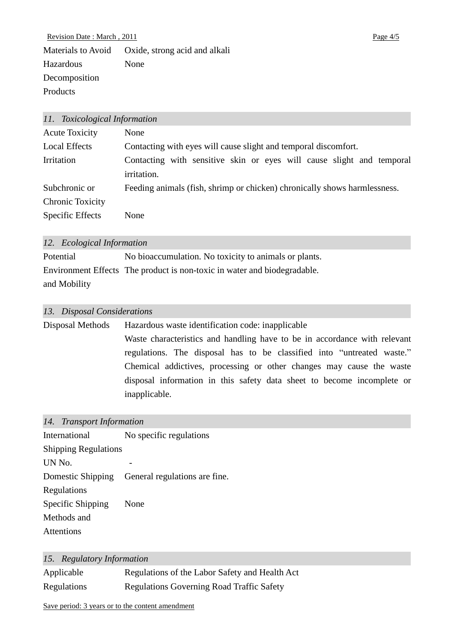Revision Date : March, 2011 Page 4/5 Materials to Avoid Oxide, strong acid and alkali Hazardous Decomposition Products None

| 11. Toxicological Information |                                                                           |
|-------------------------------|---------------------------------------------------------------------------|
| <b>Acute Toxicity</b>         | None                                                                      |
| <b>Local Effects</b>          | Contacting with eyes will cause slight and temporal discomfort.           |
| Irritation                    | Contacting with sensitive skin or eyes will cause slight and temporal     |
|                               | irritation.                                                               |
| Subchronic or                 | Feeding animals (fish, shrimp or chicken) chronically shows harmlessness. |
| Chronic Toxicity              |                                                                           |
| Specific Effects              | None                                                                      |
|                               |                                                                           |

#### *12. Ecological Information*

| Potential    | No bioaccumulation. No toxicity to animals or plants.                    |
|--------------|--------------------------------------------------------------------------|
|              | Environment Effects The product is non-toxic in water and biodegradable. |
| and Mobility |                                                                          |

### *13. Disposal Considerations*

Disposal Methods Hazardous waste identification code: inapplicable Waste characteristics and handling have to be in accordance with relevant regulations. The disposal has to be classified into "untreated waste." Chemical addictives, processing or other changes may cause the waste disposal information in this safety data sheet to become incomplete or inapplicable.

### *14. Transport Information*

| International               | No specific regulations                         |  |
|-----------------------------|-------------------------------------------------|--|
| <b>Shipping Regulations</b> |                                                 |  |
| UN No.                      |                                                 |  |
|                             | Domestic Shipping General regulations are fine. |  |
| Regulations                 |                                                 |  |
| Specific Shipping           | None                                            |  |
| Methods and                 |                                                 |  |
| Attentions                  |                                                 |  |

### *15. Regulatory Information*

| Applicable  | Regulations of the Labor Safety and Health Act   |
|-------------|--------------------------------------------------|
| Regulations | <b>Regulations Governing Road Traffic Safety</b> |

Save period: 3 years or to the content amendment